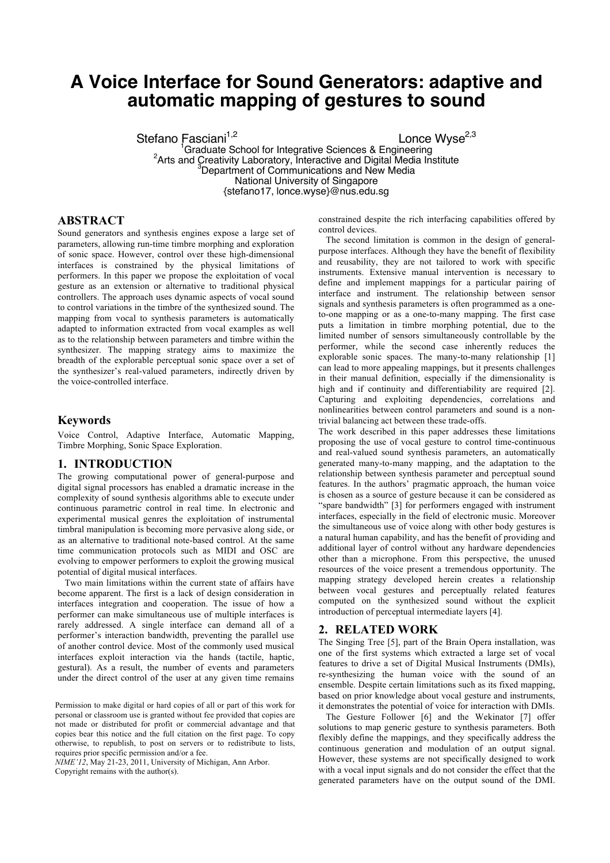# **A Voice Interface for Sound Generators: adaptive and automatic mapping of gestures to sound**

Stefano Fasciani<sup>1,2</sup><br>
<sup>1</sup>Graduate School for Integrative Sciences & Engineering Graduate School for Integrative Sciences & Engineering <sup>2</sup> Arts and Creativity Laboratory, Interactive and Digital Media Institute 3 Department of Communications and New Media National University of Singapore {stefano17, lonce.wyse}@nus.edu.sg

# **ABSTRACT**

Sound generators and synthesis engines expose a large set of parameters, allowing run-time timbre morphing and exploration of sonic space. However, control over these high-dimensional interfaces is constrained by the physical limitations of performers. In this paper we propose the exploitation of vocal gesture as an extension or alternative to traditional physical controllers. The approach uses dynamic aspects of vocal sound to control variations in the timbre of the synthesized sound. The mapping from vocal to synthesis parameters is automatically adapted to information extracted from vocal examples as well as to the relationship between parameters and timbre within the synthesizer. The mapping strategy aims to maximize the breadth of the explorable perceptual sonic space over a set of the synthesizer's real-valued parameters, indirectly driven by the voice-controlled interface.

## **Keywords**

Voice Control, Adaptive Interface, Automatic Mapping, Timbre Morphing, Sonic Space Exploration.

## **1. INTRODUCTION**

The growing computational power of general-purpose and digital signal processors has enabled a dramatic increase in the complexity of sound synthesis algorithms able to execute under continuous parametric control in real time. In electronic and experimental musical genres the exploitation of instrumental timbral manipulation is becoming more pervasive along side, or as an alternative to traditional note-based control. At the same time communication protocols such as MIDI and OSC are evolving to empower performers to exploit the growing musical potential of digital musical interfaces.

Two main limitations within the current state of affairs have become apparent. The first is a lack of design consideration in interfaces integration and cooperation. The issue of how a performer can make simultaneous use of multiple interfaces is rarely addressed. A single interface can demand all of a performer's interaction bandwidth, preventing the parallel use of another control device. Most of the commonly used musical interfaces exploit interaction via the hands (tactile, haptic, gestural). As a result, the number of events and parameters under the direct control of the user at any given time remains

*NIME'12*, May 21-23, 2011, University of Michigan, Ann Arbor. Copyright remains with the author(s).

constrained despite the rich interfacing capabilities offered by control devices.

The second limitation is common in the design of generalpurpose interfaces. Although they have the benefit of flexibility and reusability, they are not tailored to work with specific instruments. Extensive manual intervention is necessary to define and implement mappings for a particular pairing of interface and instrument. The relationship between sensor signals and synthesis parameters is often programmed as a oneto-one mapping or as a one-to-many mapping. The first case puts a limitation in timbre morphing potential, due to the limited number of sensors simultaneously controllable by the performer, while the second case inherently reduces the explorable sonic spaces. The many-to-many relationship [1] can lead to more appealing mappings, but it presents challenges in their manual definition, especially if the dimensionality is high and if continuity and differentiability are required [2]. Capturing and exploiting dependencies, correlations and nonlinearities between control parameters and sound is a nontrivial balancing act between these trade-offs.

The work described in this paper addresses these limitations proposing the use of vocal gesture to control time-continuous and real-valued sound synthesis parameters, an automatically generated many-to-many mapping, and the adaptation to the relationship between synthesis parameter and perceptual sound features. In the authors' pragmatic approach, the human voice is chosen as a source of gesture because it can be considered as "spare bandwidth" [3] for performers engaged with instrument interfaces, especially in the field of electronic music. Moreover the simultaneous use of voice along with other body gestures is a natural human capability, and has the benefit of providing and additional layer of control without any hardware dependencies other than a microphone. From this perspective, the unused resources of the voice present a tremendous opportunity. The mapping strategy developed herein creates a relationship between vocal gestures and perceptually related features computed on the synthesized sound without the explicit introduction of perceptual intermediate layers [4].

## **2. RELATED WORK**

The Singing Tree [5], part of the Brain Opera installation, was one of the first systems which extracted a large set of vocal features to drive a set of Digital Musical Instruments (DMIs), re-synthesizing the human voice with the sound of an ensemble. Despite certain limitations such as its fixed mapping, based on prior knowledge about vocal gesture and instruments, it demonstrates the potential of voice for interaction with DMIs.

The Gesture Follower [6] and the Wekinator [7] offer solutions to map generic gesture to synthesis parameters. Both flexibly define the mappings, and they specifically address the continuous generation and modulation of an output signal. However, these systems are not specifically designed to work with a vocal input signals and do not consider the effect that the generated parameters have on the output sound of the DMI.

Permission to make digital or hard copies of all or part of this work for personal or classroom use is granted without fee provided that copies are not made or distributed for profit or commercial advantage and that copies bear this notice and the full citation on the first page. To copy otherwise, to republish, to post on servers or to redistribute to lists, requires prior specific permission and/or a fee.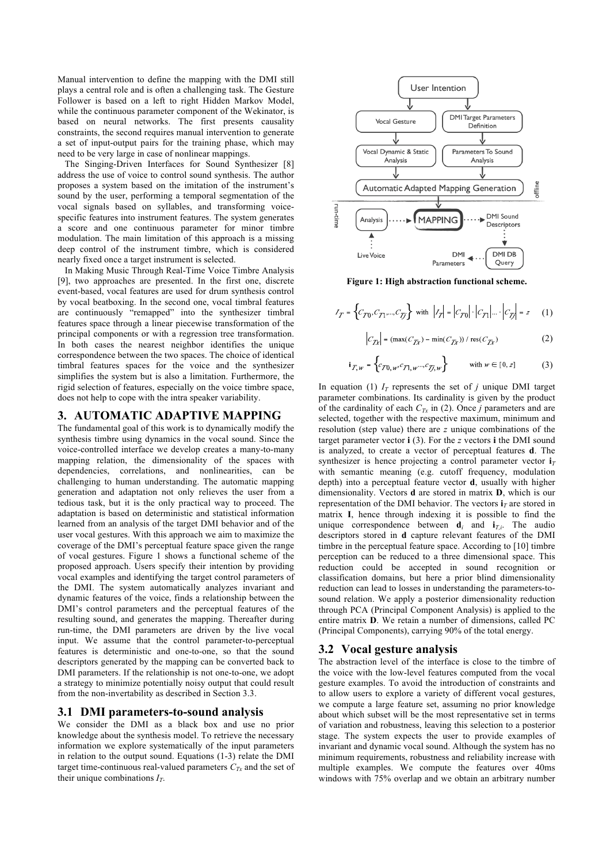Manual intervention to define the mapping with the DMI still plays a central role and is often a challenging task. The Gesture Follower is based on a left to right Hidden Markov Model, while the continuous parameter component of the Wekinator, is based on neural networks. The first presents causality constraints, the second requires manual intervention to generate a set of input-output pairs for the training phase, which may need to be very large in case of nonlinear mappings.

The Singing-Driven Interfaces for Sound Synthesizer [8] address the use of voice to control sound synthesis. The author proposes a system based on the imitation of the instrument's sound by the user, performing a temporal segmentation of the vocal signals based on syllables, and transforming voicespecific features into instrument features. The system generates a score and one continuous parameter for minor timbre modulation. The main limitation of this approach is a missing deep control of the instrument timbre, which is considered nearly fixed once a target instrument is selected.

In Making Music Through Real-Time Voice Timbre Analysis [9], two approaches are presented. In the first one, discrete event-based, vocal features are used for drum synthesis control by vocal beatboxing. In the second one, vocal timbral features are continuously "remapped" into the synthesizer timbral features space through a linear piecewise transformation of the principal components or with a regression tree transformation. In both cases the nearest neighbor identifies the unique correspondence between the two spaces. The choice of identical timbral features spaces for the voice and the synthesizer simplifies the system but is also a limitation. Furthermore, the rigid selection of features, especially on the voice timbre space, does not help to cope with the intra speaker variability.

## **3. AUTOMATIC ADAPTIVE MAPPING**

The fundamental goal of this work is to dynamically modify the synthesis timbre using dynamics in the vocal sound. Since the voice-controlled interface we develop creates a many-to-many mapping relation, the dimensionality of the spaces with dependencies, correlations, and nonlinearities, can be challenging to human understanding. The automatic mapping generation and adaptation not only relieves the user from a tedious task, but it is the only practical way to proceed. The adaptation is based on deterministic and statistical information learned from an analysis of the target DMI behavior and of the user vocal gestures. With this approach we aim to maximize the coverage of the DMI's perceptual feature space given the range of vocal gestures. Figure 1 shows a functional scheme of the proposed approach. Users specify their intention by providing vocal examples and identifying the target control parameters of the DMI. The system automatically analyzes invariant and dynamic features of the voice, finds a relationship between the DMI's control parameters and the perceptual features of the resulting sound, and generates the mapping. Thereafter during run-time, the DMI parameters are driven by the live vocal input. We assume that the control parameter-to-perceptual features is deterministic and one-to-one, so that the sound descriptors generated by the mapping can be converted back to DMI parameters. If the relationship is not one-to-one, we adopt a strategy to minimize potentially noisy output that could result from the non-invertability as described in Section 3.3.

### **3.1 DMI parameters-to-sound analysis**

We consider the DMI as a black box and use no prior knowledge about the synthesis model. To retrieve the necessary information we explore systematically of the input parameters in relation to the output sound. Equations (1-3) relate the DMI target time-continuous real-valued parameters  $C_{Tx}$  and the set of their unique combinations  $I_T$ .



**Figure 1: High abstraction functional scheme.**

$$
I_T = \left\{ C_{T0}, C_{T1}, ..., C_{Tj} \right\} \text{ with } \left| I_T \right| = \left| C_{T0} \right| \cdot \left| C_{T1} \right| \dots \cdot \left| C_{Tj} \right| = z \qquad (1)
$$

$$
C_{\text{Zr}} = (\max(C_{\text{Zr}}) - \min(C_{\text{Zr}})) / \operatorname{res}(C_{\text{Zr}})
$$
 (2)

$$
i_{Z,w} = \left\{ c_{Z0,w}, c_{Z1,w}, c_{Zj,w} \right\} \qquad \text{with } w \in [0, z] \tag{3}
$$

In equation (1)  $I_T$  represents the set of *j* unique DMI target parameter combinations. Its cardinality is given by the product of the cardinality of each  $C_{Tx}$  in (2). Once *j* parameters and are selected, together with the respective maximum, minimum and resolution (step value) there are *z* unique combinations of the target parameter vector **i** (3). For the *z* vectors **i** the DMI sound is analyzed, to create a vector of perceptual features **d**. The synthesizer is hence projecting a control parameter vector  $\mathbf{i}_T$ with semantic meaning (e.g. cutoff frequency, modulation depth) into a perceptual feature vector **d**, usually with higher dimensionality. Vectors **d** are stored in matrix **D**, which is our representation of the DMI behavior. The vectors  $\mathbf{i}_T$  are stored in matrix **I**, hence through indexing it is possible to find the unique correspondence between  $\mathbf{d}_i$  and  $\mathbf{i}_{T,i}$ . The audio descriptors stored in **d** capture relevant features of the DMI timbre in the perceptual feature space. According to [10] timbre perception can be reduced to a three dimensional space. This reduction could be accepted in sound recognition or classification domains, but here a prior blind dimensionality reduction can lead to losses in understanding the parameters-tosound relation. We apply a posterior dimensionality reduction through PCA (Principal Component Analysis) is applied to the entire matrix **D**. We retain a number of dimensions, called PC (Principal Components), carrying 90% of the total energy.

## **3.2 Vocal gesture analysis**

The abstraction level of the interface is close to the timbre of the voice with the low-level features computed from the vocal gesture examples. To avoid the introduction of constraints and to allow users to explore a variety of different vocal gestures, we compute a large feature set, assuming no prior knowledge about which subset will be the most representative set in terms of variation and robustness, leaving this selection to a posterior stage. The system expects the user to provide examples of invariant and dynamic vocal sound. Although the system has no minimum requirements, robustness and reliability increase with multiple examples. We compute the features over 40ms windows with 75% overlap and we obtain an arbitrary number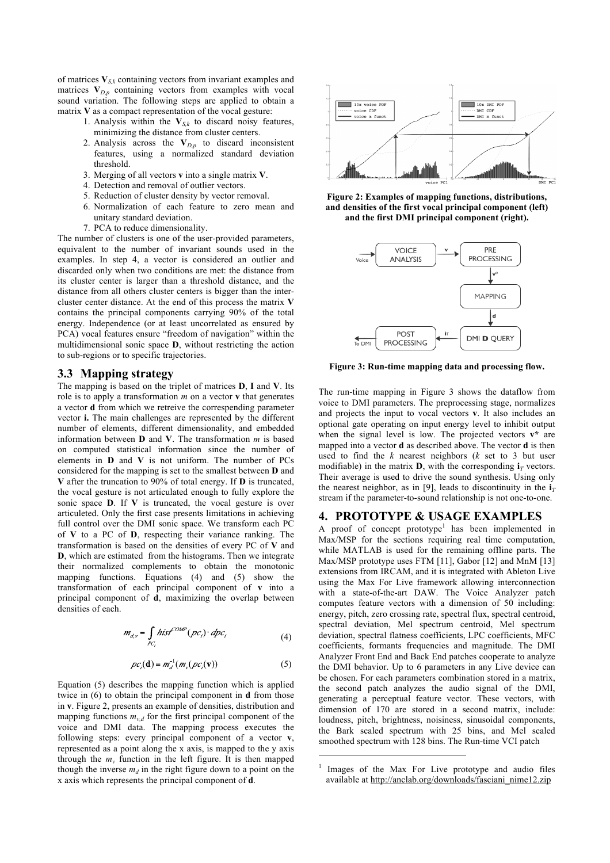of matrices  $V_{S,k}$  containing vectors from invariant examples and matrices  $V_{D,p}$  containing vectors from examples with vocal sound variation. The following steps are applied to obtain a matrix **V** as a compact representation of the vocal gesture:

- 1. Analysis within the  $V_{S,k}$  to discard noisy features, minimizing the distance from cluster centers.
- 2. Analysis across the **V***D,p* to discard inconsistent features, using a normalized standard deviation threshold.
- 3. Merging of all vectors **v** into a single matrix **V**.
- 4. Detection and removal of outlier vectors.
- 5. Reduction of cluster density by vector removal.
- 6. Normalization of each feature to zero mean and unitary standard deviation.
- 7. PCA to reduce dimensionality.

The number of clusters is one of the user-provided parameters, equivalent to the number of invariant sounds used in the examples. In step 4, a vector is considered an outlier and discarded only when two conditions are met: the distance from its cluster center is larger than a threshold distance, and the distance from all others cluster centers is bigger than the intercluster center distance. At the end of this process the matrix **V** contains the principal components carrying 90% of the total energy. Independence (or at least uncorrelated as ensured by PCA) vocal features ensure "freedom of navigation" within the multidimensional sonic space **D**, without restricting the action to sub-regions or to specific trajectories.

#### **3.3 Mapping strategy**

The mapping is based on the triplet of matrices **D**, **I** and **V**. Its role is to apply a transformation *m* on a vector **v** that generates a vector **d** from which we retreive the correspending parameter vector **i.** The main challenges are represented by the different number of elements, different dimensionality, and embedded information between **D** and **V**. The transformation *m* is based on computed statistical information since the number of elements in **D** and **V** is not uniform. The number of PCs considered for the mapping is set to the smallest between **D** and **V** after the truncation to 90% of total energy. If **D** is truncated, the vocal gesture is not articulated enough to fully explore the sonic space **D**. If **V** is truncated, the vocal gesture is over articuleted. Only the first case presents limitations in achieving full control over the DMI sonic space. We transform each PC of **V** to a PC of **D**, respecting their variance ranking. The transformation is based on the densities of every PC of **V** and **D**, which are estimated from the histograms. Then we integrate their normalized complements to obtain the monotonic mapping functions. Equations (4) and (5) show the transformation of each principal component of **v** into a principal component of **d**, maximizing the overlap between densities of each.

$$
m_{d,v} = \int_{PC_i} hist^{COMP}(pc_i) \cdot dpc_i
$$
 (4)

$$
pc_i(\mathbf{d}) = m_d^{-1}(m_v(\mathit{pc}_i(\mathbf{v})) \tag{5}
$$

Equation (5) describes the mapping function which is applied twice in (6) to obtain the principal component in **d** from those in **v**. Figure 2, presents an example of densities, distribution and mapping functions  $m_{v,d}$  for the first principal component of the voice and DMI data. The mapping process executes the following steps: every principal component of a vector **v**, represented as a point along the x axis, is mapped to the y axis through the  $m<sub>v</sub>$  function in the left figure. It is then mapped though the inverse  $m_d$  in the right figure down to a point on the x axis which represents the principal component of **d**.



**Figure 2: Examples of mapping functions, distributions, and densities of the first vocal principal component (left) and the first DMI principal component (right).**



**Figure 3: Run-time mapping data and processing flow.**

The run-time mapping in Figure 3 shows the dataflow from voice to DMI parameters. The preprocessing stage, normalizes and projects the input to vocal vectors **v**. It also includes an optional gate operating on input energy level to inhibit output when the signal level is low. The projected vectors **v\*** are mapped into a vector **d** as described above. The vector **d** is then used to find the *k* nearest neighbors (*k* set to 3 but user modifiable) in the matrix **D**, with the corresponding  $\mathbf{i}_T$  vectors. Their average is used to drive the sound synthesis. Using only the nearest neighbor, as in [9], leads to discontinuity in the  $\mathbf{i}_T$ stream if the parameter-to-sound relationship is not one-to-one.

#### **4. PROTOTYPE & USAGE EXAMPLES**

A proof of concept prototype<sup>1</sup> has been implemented in Max/MSP for the sections requiring real time computation, while MATLAB is used for the remaining offline parts. The Max/MSP prototype uses FTM [11], Gabor [12] and MnM [13] extensions from IRCAM, and it is integrated with Ableton Live using the Max For Live framework allowing interconnection with a state-of-the-art DAW. The Voice Analyzer patch computes feature vectors with a dimension of 50 including: energy, pitch, zero crossing rate, spectral flux, spectral centroid, spectral deviation, Mel spectrum centroid, Mel spectrum deviation, spectral flatness coefficients, LPC coefficients, MFC coefficients, formants frequencies and magnitude. The DMI Analyzer Front End and Back End patches cooperate to analyze the DMI behavior. Up to 6 parameters in any Live device can be chosen. For each parameters combination stored in a matrix, the second patch analyzes the audio signal of the DMI, generating a perceptual feature vector. These vectors, with dimension of 170 are stored in a second matrix, include: loudness, pitch, brightness, noisiness, sinusoidal components, the Bark scaled spectrum with 25 bins, and Mel scaled smoothed spectrum with 128 bins. The Run-time VCI patch

-

<sup>1</sup> Images of the Max For Live prototype and audio files available at http://anclab.org/downloads/fasciani\_nime12.zip